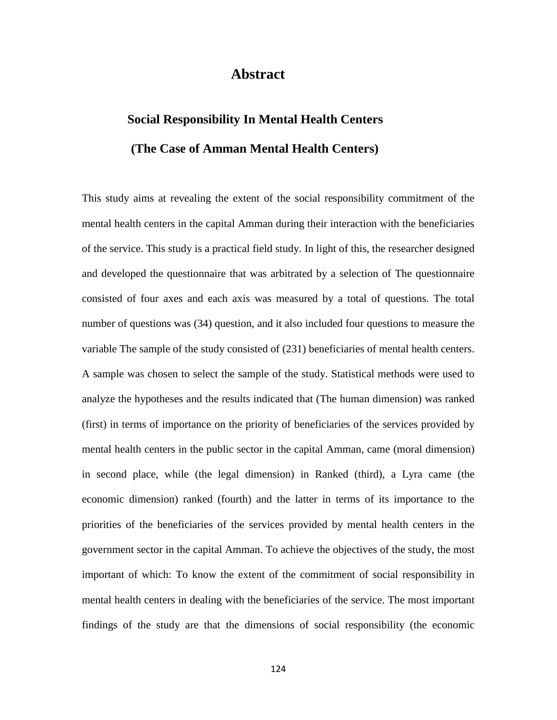## **Abstract**

## **Social Responsibility In Mental Health Centers (The Case of Amman Mental Health Centers)**

This study aims at revealing the extent of the social responsibility commitment of the mental health centers in the capital Amman during their interaction with the beneficiaries of the service. This study is a practical field study. In light of this, the researcher designed and developed the questionnaire that was arbitrated by a selection of The questionnaire consisted of four axes and each axis was measured by a total of questions. The total number of questions was (34) question, and it also included four questions to measure the variable The sample of the study consisted of (231) beneficiaries of mental health centers. A sample was chosen to select the sample of the study. Statistical methods were used to analyze the hypotheses and the results indicated that (The human dimension) was ranked (first) in terms of importance on the priority of beneficiaries of the services provided by mental health centers in the public sector in the capital Amman, came (moral dimension) in second place, while (the legal dimension) in Ranked (third), a Lyra came (the economic dimension) ranked (fourth) and the latter in terms of its importance to the priorities of the beneficiaries of the services provided by mental health centers in the government sector in the capital Amman. To achieve the objectives of the study, the most important of which: To know the extent of the commitment of social responsibility in mental health centers in dealing with the beneficiaries of the service. The most important findings of the study are that the dimensions of social responsibility (the economic